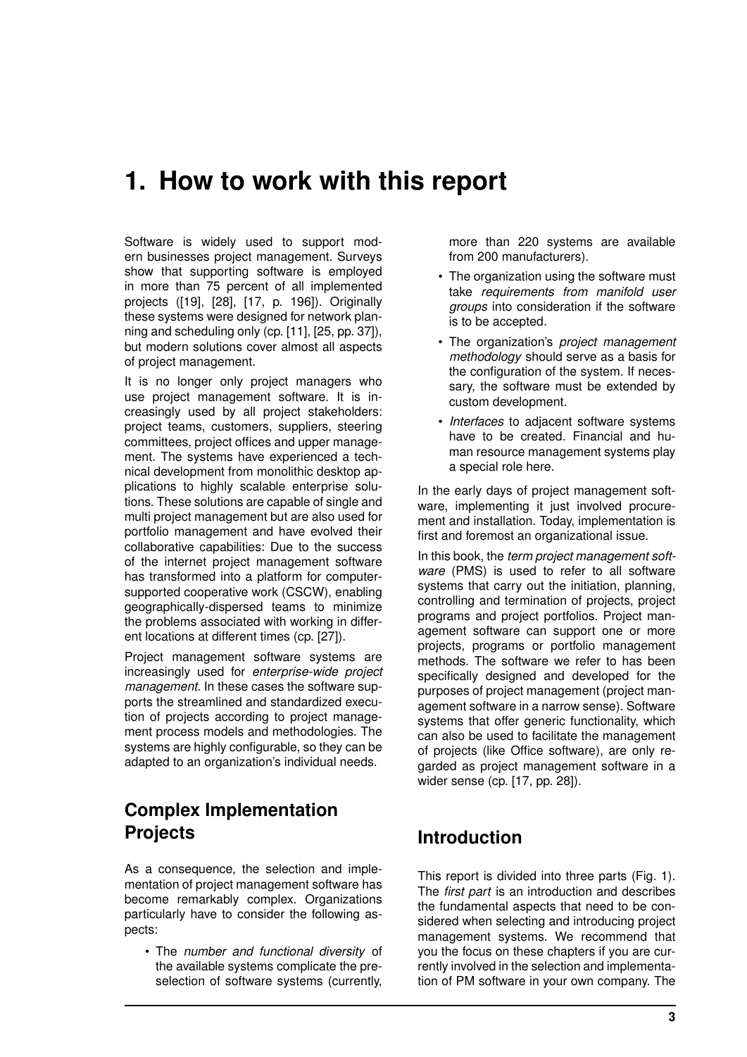# **1. How to work with this report**

Software is widely used to support modern businesses project management. Surveys show that supporting software is employed in more than 75 percent of all implemented projects ([19], [28], [17, p. 196]). Originally these systems were designed for network planning and scheduling only (cp. [11], [25, pp. 37]), but modern solutions cover almost all aspects of project management.

It is no longer only project managers who use project management software. It is increasingly used by all project stakeholders: project teams, customers, suppliers, steering committees, project offices and upper management. The systems have experienced a technical development from monolithic desktop applications to highly scalable enterprise solutions. These solutions are capable of single and multi project management but are also used for portfolio management and have evolved their collaborative capabilities: Due to the success of the internet project management software has transformed into a platform for computersupported cooperative work (CSCW), enabling geographically-dispersed teams to minimize the problems associated with working in different locations at different times (cp. [27]).

Project management software systems are increasingly used for *enterprise-wide project management*. In these cases the software supports the streamlined and standardized execution of projects according to project management process models and methodologies. The systems are highly configurable, so they can be adapted to an organization's individual needs.

## **Complex Implementation Projects**

As a consequence, the selection and implementation of project management software has become remarkably complex. Organizations particularly have to consider the following aspects:

• The *number and functional diversity* of the available systems complicate the preselection of software systems (currently,

more than 220 systems are available from 200 manufacturers).

- The organization using the software must take *requirements from manifold user groups* into consideration if the software is to be accepted.
- The organization's *project management methodology* should serve as a basis for the configuration of the system. If necessary, the software must be extended by custom development.
- *Interfaces* to adjacent software systems have to be created. Financial and human resource management systems play a special role here.

In the early days of project management software, implementing it just involved procurement and installation. Today, implementation is first and foremost an organizational issue.

In this book, the *term project management software* (PMS) is used to refer to all software systems that carry out the initiation, planning, controlling and termination of projects, project programs and project portfolios. Project management software can support one or more projects, programs or portfolio management methods. The software we refer to has been specifically designed and developed for the purposes of project management (project management software in a narrow sense). Software systems that offer generic functionality, which can also be used to facilitate the management of projects (like Office software), are only regarded as project management software in a wider sense (cp. [17, pp. 28]).

### **Introduction**

This report is divided into three parts (Fig. 1). The *first part* is an introduction and describes the fundamental aspects that need to be considered when selecting and introducing project management systems. We recommend that you the focus on these chapters if you are currently involved in the selection and implementation of PM software in your own company. The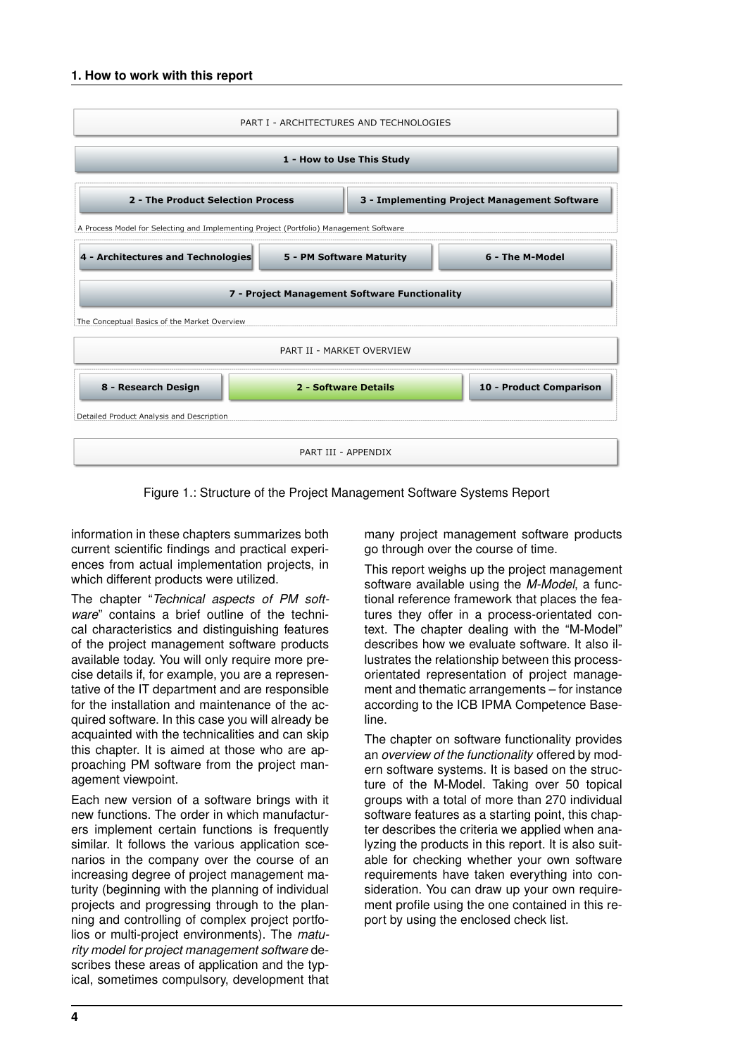| PART I - ARCHITECTURES AND TECHNOLOGIES                                                |                          |                                              |                         |
|----------------------------------------------------------------------------------------|--------------------------|----------------------------------------------|-------------------------|
| 1 - How to Use This Study                                                              |                          |                                              |                         |
| 2 - The Product Selection Process                                                      |                          | 3 - Implementing Project Management Software |                         |
| A Process Model for Selecting and Implementing Project (Portfolio) Management Software |                          |                                              |                         |
| 4 - Architectures and Technologies                                                     | 5 - PM Software Maturity |                                              | 6 - The M-Model         |
| 7 - Project Management Software Functionality                                          |                          |                                              |                         |
| The Conceptual Basics of the Market Overview                                           |                          |                                              |                         |
| PART II - MARKET OVERVIEW                                                              |                          |                                              |                         |
| 8 - Research Design                                                                    | 2 - Software Details     |                                              | 10 - Product Comparison |
| Detailed Product Analysis and Description                                              |                          |                                              |                         |
| PART III - APPENDIX                                                                    |                          |                                              |                         |

Figure 1.: Structure of the Project Management Software Systems Report

information in these chapters summarizes both current scientific findings and practical experiences from actual implementation projects, in which different products were utilized.

The chapter "*Technical aspects of PM software*" contains a brief outline of the technical characteristics and distinguishing features of the project management software products available today. You will only require more precise details if, for example, you are a representative of the IT department and are responsible for the installation and maintenance of the acquired software. In this case you will already be acquainted with the technicalities and can skip this chapter. It is aimed at those who are approaching PM software from the project management viewpoint.

Each new version of a software brings with it new functions. The order in which manufacturers implement certain functions is frequently similar. It follows the various application scenarios in the company over the course of an increasing degree of project management maturity (beginning with the planning of individual projects and progressing through to the planning and controlling of complex project portfolios or multi-project environments). The *maturity model for project management software* describes these areas of application and the typical, sometimes compulsory, development that many project management software products go through over the course of time.

This report weighs up the project management software available using the *M-Model*, a functional reference framework that places the features they offer in a process-orientated context. The chapter dealing with the "M-Model" describes how we evaluate software. It also illustrates the relationship between this processorientated representation of project management and thematic arrangements – for instance according to the ICB IPMA Competence Baseline.

The chapter on software functionality provides an *overview of the functionality* offered by modern software systems. It is based on the structure of the M-Model. Taking over 50 topical groups with a total of more than 270 individual software features as a starting point, this chapter describes the criteria we applied when analyzing the products in this report. It is also suitable for checking whether your own software requirements have taken everything into consideration. You can draw up your own requirement profile using the one contained in this report by using the enclosed check list.